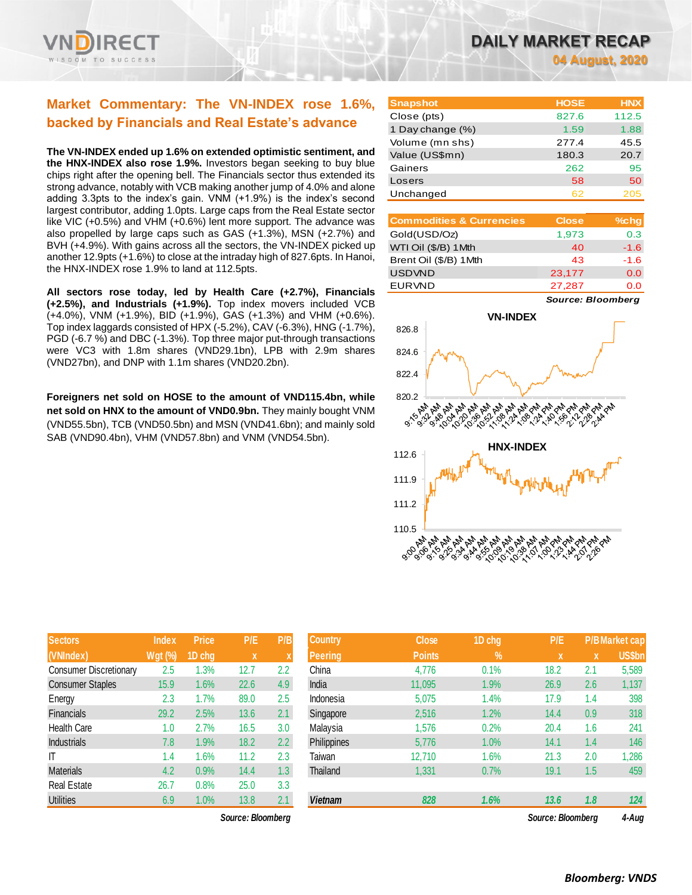

# **Market Commentary: The VN-INDEX rose 1.6%, backed by Financials and Real Estate's advance**

**The VN-INDEX ended up 1.6% on extended optimistic sentiment, and the HNX-INDEX also rose 1.9%.** Investors began seeking to buy blue chips right after the opening bell. The Financials sector thus extended its strong advance, notably with VCB making another jump of 4.0% and alone adding 3.3pts to the index's gain. VNM (+1.9%) is the index's second largest contributor, adding 1.0pts. Large caps from the Real Estate sector like VIC (+0.5%) and VHM (+0.6%) lent more support. The advance was also propelled by large caps such as GAS (+1.3%), MSN (+2.7%) and BVH (+4.9%). With gains across all the sectors, the VN-INDEX picked up another 12.9pts (+1.6%) to close at the intraday high of 827.6pts. In Hanoi, the HNX-INDEX rose 1.9% to land at 112.5pts.

**All sectors rose today, led by Health Care (+2.7%), Financials (+2.5%), and Industrials (+1.9%).** Top index movers included VCB (+4.0%), VNM (+1.9%), BID (+1.9%), GAS (+1.3%) and VHM (+0.6%). Top index laggards consisted of HPX (-5.2%), CAV (-6.3%), HNG (-1.7%), PGD (-6.7 %) and DBC (-1.3%). Top three major put-through transactions were VC3 with 1.8m shares (VND29.1bn), LPB with 2.9m shares (VND27bn), and DNP with 1.1m shares (VND20.2bn).

**Foreigners net sold on HOSE to the amount of VND115.4bn, while net sold on HNX to the amount of VND0.9bn.** They mainly bought VNM (VND55.5bn), TCB (VND50.5bn) and MSN (VND41.6bn); and mainly sold SAB (VND90.4bn), VHM (VND57.8bn) and VNM (VND54.5bn).

| DAILY MARKET RECAP |  |                 |  |  |
|--------------------|--|-----------------|--|--|
|                    |  | 04 August, 2020 |  |  |

**Snapshot HOSE HNX** Close (pts) 827.6 112.5 1 Day change (%) 1.59 1.88 Volume (mn shs) 277.4 45.5 Value (US\$mn) 180.3 20.7 Gainers 262 95 Losers 58 50 Unchanged 62 205

| <b>Commodities &amp; Currencies</b> | <b>Close</b> | $%$ chg |
|-------------------------------------|--------------|---------|
| Gold(USD/Oz)                        | 1,973        | 0.3     |
| WTI Oil (\$/B) 1 Mth                | 40           | $-1.6$  |
| Brent Oil (\$/B) 1 Mth              | 43           | $-1.6$  |
| <b>USDVND</b>                       | 23,177       | 0.0     |
| <b>EURVND</b>                       | 27,287       | o o     |

*Source: Bloomberg*



| <b>Sectors</b>                | <b>Index</b>   | Price  | P/E  | P/B |
|-------------------------------|----------------|--------|------|-----|
| (VNIndex)                     | <b>Wgt (%)</b> | 1D chg | x    | X   |
| <b>Consumer Discretionary</b> | 2.5            | 1.3%   | 12.7 | 2.2 |
| <b>Consumer Staples</b>       | 15.9           | 1.6%   | 22.6 | 4.9 |
| Energy                        | 2.3            | 1.7%   | 89.0 | 2.5 |
| <b>Financials</b>             | 29.2           | 2.5%   | 13.6 | 2.1 |
| Health Care                   | 1.0            | 2.7%   | 16.5 | 3.0 |
| <b>Industrials</b>            | 7.8            | 1.9%   | 18.2 | 2.2 |
| ΙT                            | 1.4            | 1.6%   | 11.2 | 2.3 |
| <b>Materials</b>              | 4.2            | 0.9%   | 14.4 | 1.3 |
| <b>Real Estate</b>            | 26.7           | 0.8%   | 25.0 | 3.3 |
| <b>Utilities</b>              | 6.9            | 1.0%   | 13.8 | 2.1 |

 $Source: Bloomberg$ 

| <b>Sectors</b>                | <b>Index</b>   | <b>Price</b> | P/E               | P/B           | <b>Country</b> | <b>Close</b>  | 1D chg | P/E               |     | <b>P/BMarket cap</b> |
|-------------------------------|----------------|--------------|-------------------|---------------|----------------|---------------|--------|-------------------|-----|----------------------|
| (VNIndex)                     | <b>Wgt (%)</b> | 1D chg       | X                 | X             | <b>Peering</b> | <b>Points</b> | $\%$   | <b>X</b>          | X   | <b>US\$bn</b>        |
| <b>Consumer Discretionary</b> | 2.5            | 1.3%         | 12.7              | 2.2           | China          | 4,776         | 0.1%   | 18.2              | 2.1 | 5,589                |
| <b>Consumer Staples</b>       | 15.9           | 1.6%         | 22.6              | 4.9           | India          | 11,095        | 1.9%   | 26.9              | 2.6 | 1,137                |
| Energy                        | 2.3            | 1.7%         | 89.0              | 2.5           | Indonesia      | 5,075         | 1.4%   | 17.9              | 1.4 | 398                  |
| Financials                    | 29.2           | 2.5%         | 13.6              | 2.1           | Singapore      | 2,516         | 1.2%   | 14.4              | 0.9 | 318                  |
| Health Care                   | 1.0            | 2.7%         | 16.5              | 3.0           | Malaysia       | 1,576         | 0.2%   | 20.4              | 1.6 | 241                  |
| <b>Industrials</b>            | 7.8            | 1.9%         | 18.2              | $2.2^{\circ}$ | Philippines    | 5,776         | 1.0%   | 14.1              | 1.4 | 146                  |
| ΙT                            | 1.4            | 1.6%         | 11.2              | 2.3           | Taiwan         | 12,710        | 1.6%   | 21.3              | 2.0 | 1,286                |
| <b>Materials</b>              | 4.2            | 0.9%         | 14.4              | 1.3           | Thailand       | 1,331         | 0.7%   | 19.1              | 1.5 | 459                  |
| Real Estate                   | 26.7           | 0.8%         | 25.0              | 3.3           |                |               |        |                   |     |                      |
| <b>Utilities</b>              | 6.9            | 1.0%         | 13.8              | 2.1           | <b>Vietnam</b> | 828           | 1.6%   | 13.6              | 1.8 | 124                  |
|                               |                |              | Source: Bloombera |               |                |               |        | Source: Bloombera |     | 4-Aua                |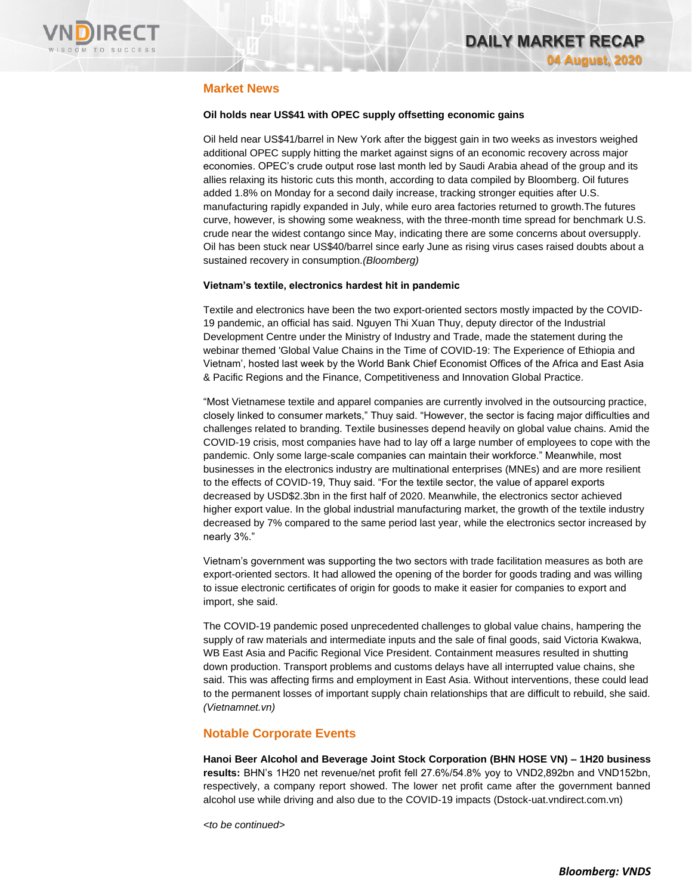

# **Market News**

#### **Oil holds near US\$41 with OPEC supply offsetting economic gains**

Oil held near US\$41/barrel in New York after the biggest gain in two weeks as investors weighed additional OPEC supply hitting the market against signs of an economic recovery across major economies. OPEC's crude output rose last month led by Saudi Arabia ahead of the group and its allies relaxing its historic cuts this month, according to data compiled by Bloomberg. Oil futures added 1.8% on Monday for a second daily increase, tracking stronger equities after U.S. manufacturing rapidly expanded in July, while euro area factories returned to growth.The futures curve, however, is showing some weakness, with the three-month time spread for benchmark U.S. crude near the widest contango since May, indicating there are some concerns about oversupply. Oil has been stuck near US\$40/barrel since early June as rising virus cases raised doubts about a sustained recovery in consumption.*(Bloomberg)*

#### **Vietnam's textile, electronics hardest hit in pandemic**

Textile and electronics have been the two export-oriented sectors mostly impacted by the COVID-19 pandemic, an official has said. Nguyen Thi Xuan Thuy, deputy director of the Industrial Development Centre under the Ministry of Industry and Trade, made the statement during the webinar themed 'Global Value Chains in the Time of COVID-19: The Experience of Ethiopia and Vietnam', hosted last week by the World Bank Chief Economist Offices of the Africa and East Asia & Pacific Regions and the Finance, Competitiveness and Innovation Global Practice.

"Most Vietnamese textile and apparel companies are currently involved in the outsourcing practice, closely linked to consumer markets," Thuy said. "However, the sector is facing major difficulties and challenges related to branding. Textile businesses depend heavily on global value chains. Amid the COVID-19 crisis, most companies have had to lay off a large number of employees to cope with the pandemic. Only some large-scale companies can maintain their workforce." Meanwhile, most businesses in the electronics industry are multinational enterprises (MNEs) and are more resilient to the effects of COVID-19, Thuy said. "For the textile sector, the value of apparel exports decreased by USD\$2.3bn in the first half of 2020. Meanwhile, the electronics sector achieved higher export value. In the global industrial manufacturing market, the growth of the textile industry decreased by 7% compared to the same period last year, while the electronics sector increased by nearly 3%."

Vietnam's government was supporting the two sectors with trade facilitation measures as both are export-oriented sectors. It had allowed the opening of the border for goods trading and was willing to issue electronic certificates of origin for goods to make it easier for companies to export and import, she said.

The COVID-19 pandemic posed unprecedented challenges to global value chains, hampering the supply of raw materials and intermediate inputs and the sale of final goods, said Victoria Kwakwa, WB East Asia and Pacific Regional Vice President. Containment measures resulted in shutting down production. Transport problems and customs delays have all interrupted value chains, she said. This was affecting firms and employment in East Asia. Without interventions, these could lead to the permanent losses of important supply chain relationships that are difficult to rebuild, she said. *(Vietnamnet.vn)*

### **Notable Corporate Events**

**Hanoi Beer Alcohol and Beverage Joint Stock Corporation (BHN HOSE VN) – 1H20 business results:** BHN's 1H20 net revenue/net profit fell 27.6%/54.8% yoy to VND2,892bn and VND152bn, respectively, a company report showed. The lower net profit came after the government banned alcohol use while driving and also due to the COVID-19 impacts (Dstock-uat.vndirect.com.vn)

*<to be continued>*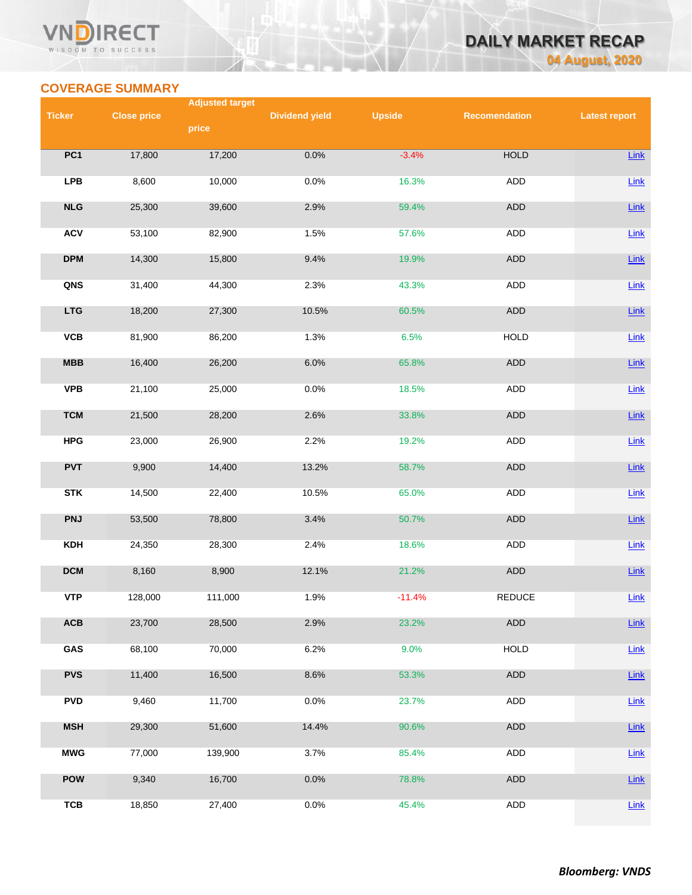### VND **RECT** WISDOM TO SUCCESS



# **COVERAGE SUMMARY**

|               |                    | <b>Adjusted target</b> |                       |               |                      |                      |
|---------------|--------------------|------------------------|-----------------------|---------------|----------------------|----------------------|
| <b>Ticker</b> | <b>Close price</b> |                        | <b>Dividend yield</b> | <b>Upside</b> | <b>Recomendation</b> | <b>Latest report</b> |
|               |                    | price                  |                       |               |                      |                      |
| PC1           | 17,800             | 17,200                 | 0.0%                  | $-3.4%$       | <b>HOLD</b>          |                      |
|               |                    |                        |                       |               |                      | Link                 |
| <b>LPB</b>    | 8,600              | 10,000                 | 0.0%                  | 16.3%         | ADD                  | $Link$               |
|               |                    |                        |                       |               |                      |                      |
| NLG           | 25,300             | 39,600                 | 2.9%                  | 59.4%         | <b>ADD</b>           | Link                 |
|               |                    |                        |                       |               |                      |                      |
| <b>ACV</b>    | 53,100             | 82,900                 | 1.5%                  | 57.6%         | <b>ADD</b>           | Link                 |
| <b>DPM</b>    | 14,300             | 15,800                 | 9.4%                  | 19.9%         | ADD                  | Link                 |
|               |                    |                        |                       |               |                      |                      |
| QNS           | 31,400             | 44,300                 | 2.3%                  | 43.3%         | ADD                  | $Link$               |
|               |                    |                        |                       |               |                      |                      |
| <b>LTG</b>    | 18,200             | 27,300                 | 10.5%                 | 60.5%         | ADD                  | Link                 |
| <b>VCB</b>    | 81,900             | 86,200                 | 1.3%                  | 6.5%          | <b>HOLD</b>          | $Link$               |
|               |                    |                        |                       |               |                      |                      |
| MBB           | 16,400             | 26,200                 | 6.0%                  | 65.8%         | <b>ADD</b>           | Link                 |
|               |                    |                        |                       |               |                      |                      |
| <b>VPB</b>    | 21,100             | 25,000                 | 0.0%                  | 18.5%         | ADD                  | Link                 |
| <b>TCM</b>    | 21,500             | 28,200                 | 2.6%                  | 33.8%         | <b>ADD</b>           | Link                 |
|               |                    |                        |                       |               |                      |                      |
| <b>HPG</b>    | 23,000             | 26,900                 | 2.2%                  | 19.2%         | <b>ADD</b>           | <b>Link</b>          |
|               |                    |                        |                       |               |                      |                      |
| <b>PVT</b>    | 9,900              | 14,400                 | 13.2%                 | 58.7%         | ADD                  | Link                 |
| <b>STK</b>    | 14,500             | 22,400                 | 10.5%                 | 65.0%         | ADD                  | $Link$               |
|               |                    |                        |                       |               |                      |                      |
| <b>PNJ</b>    | 53,500             | 78,800                 | 3.4%                  | 50.7%         | ADD                  | Link                 |
|               |                    |                        |                       |               |                      |                      |
| <b>KDH</b>    | 24,350             | 28,300                 | 2.4%                  | 18.6%         | <b>ADD</b>           | $Link$               |
|               |                    |                        |                       |               |                      |                      |
| <b>DCM</b>    | 8,160              | 8,900                  | 12.1%                 | 21.2%         | ADD                  | Link                 |
| <b>VTP</b>    | 128,000            | 111,000                | 1.9%                  | $-11.4%$      | REDUCE               | Link                 |
|               |                    |                        |                       |               |                      |                      |
| ACB           | 23,700             | 28,500                 | 2.9%                  | 23.2%         | <b>ADD</b>           | <b>Link</b>          |
|               |                    |                        |                       |               |                      |                      |
| GAS           | 68,100             | 70,000                 | 6.2%                  | 9.0%          | <b>HOLD</b>          | <b>Link</b>          |
| <b>PVS</b>    | 11,400             | 16,500                 | 8.6%                  | 53.3%         | ADD                  | Link                 |
|               |                    |                        |                       |               |                      |                      |
| <b>PVD</b>    | 9,460              | 11,700                 | 0.0%                  | 23.7%         | ADD                  | Link                 |
|               |                    |                        |                       |               |                      |                      |
| <b>MSH</b>    | 29,300             | 51,600                 | 14.4%                 | 90.6%         | ADD                  | Link                 |
| <b>MWG</b>    | 77,000             | 139,900                | 3.7%                  | 85.4%         | ADD                  | <b>Link</b>          |
|               |                    |                        |                       |               |                      |                      |
| <b>POW</b>    | 9,340              | 16,700                 | 0.0%                  | 78.8%         | ADD                  | Link                 |
|               |                    |                        |                       |               |                      |                      |
| <b>TCB</b>    | 18,850             | 27,400                 | 0.0%                  | 45.4%         | ADD                  | <b>Link</b>          |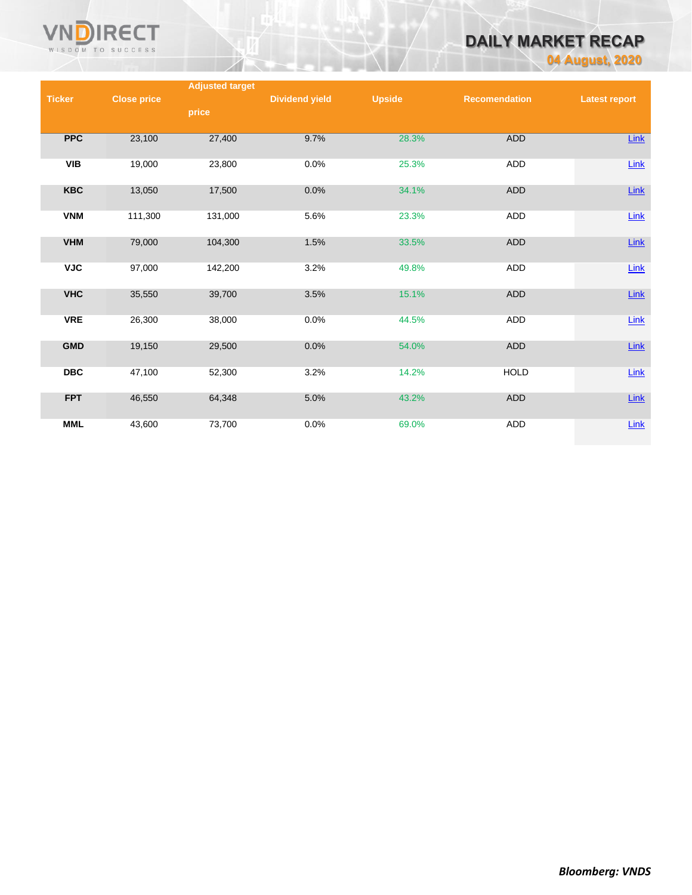

# **DAILY MARKET RECAP**

**04 August, 2020**

|               |                    | <b>Adjusted target</b> |                       |               |                      |                      |
|---------------|--------------------|------------------------|-----------------------|---------------|----------------------|----------------------|
| <b>Ticker</b> | <b>Close price</b> |                        | <b>Dividend yield</b> | <b>Upside</b> | <b>Recomendation</b> | <b>Latest report</b> |
|               |                    | price                  |                       |               |                      |                      |
|               |                    |                        |                       |               |                      |                      |
| <b>PPC</b>    | 23,100             | 27,400                 | 9.7%                  | 28.3%         | ADD                  | <b>Link</b>          |
| VIB           | 19,000             | 23,800                 | 0.0%                  | 25.3%         | ADD                  | Link                 |
| <b>KBC</b>    | 13,050             | 17,500                 | 0.0%                  | 34.1%         | <b>ADD</b>           | Link                 |
| <b>VNM</b>    | 111,300            | 131,000                | 5.6%                  | 23.3%         | ADD                  | Link                 |
| <b>VHM</b>    | 79,000             | 104,300                | 1.5%                  | 33.5%         | ADD                  | <b>Link</b>          |
| <b>VJC</b>    | 97,000             | 142,200                | 3.2%                  | 49.8%         | ADD                  | $Link$               |
| <b>VHC</b>    | 35,550             | 39,700                 | 3.5%                  | 15.1%         | ADD                  | <b>Link</b>          |
| <b>VRE</b>    | 26,300             | 38,000                 | 0.0%                  | 44.5%         | ADD                  | $Link$               |
| <b>GMD</b>    | 19,150             | 29,500                 | 0.0%                  | 54.0%         | ADD                  | Link                 |
| <b>DBC</b>    | 47,100             | 52,300                 | 3.2%                  | 14.2%         | <b>HOLD</b>          | Link                 |
| <b>FPT</b>    | 46,550             | 64,348                 | 5.0%                  | 43.2%         | ADD                  | <b>Link</b>          |
| <b>MML</b>    | 43,600             | 73,700                 | 0.0%                  | 69.0%         | ADD                  | Link                 |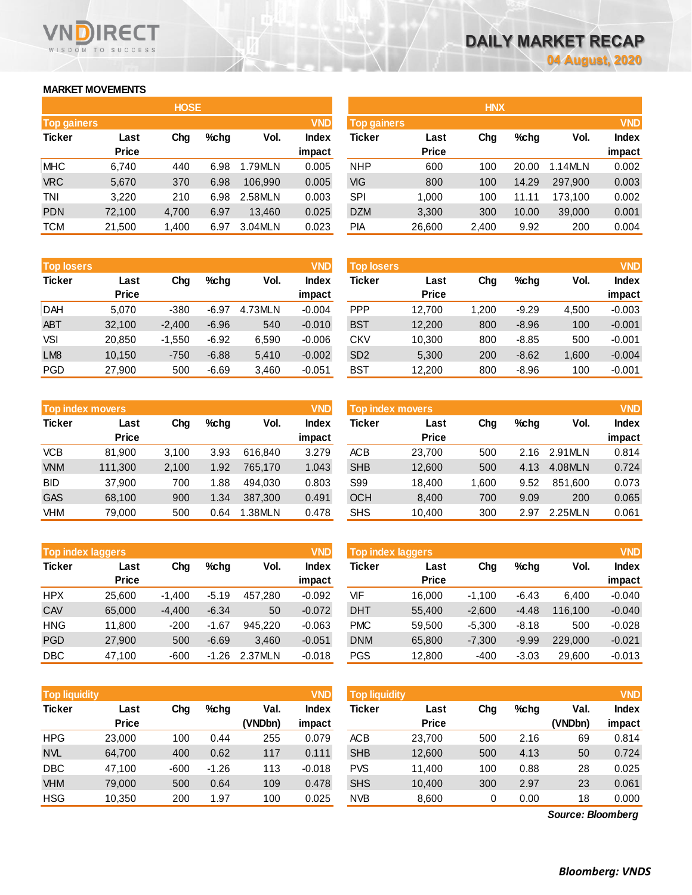# **MARKET MOVEMENTS**

WISDOM TO SUCCESS

**RECT** 

n

|                    | <b>HOSE</b>  |       |      |         |              |  |  |  |  |  |  |
|--------------------|--------------|-------|------|---------|--------------|--|--|--|--|--|--|
| <b>Top gainers</b> |              |       |      |         | <b>VND</b>   |  |  |  |  |  |  |
| <b>Ticker</b>      | Last         | Chg   | %chq | Vol.    | <b>Index</b> |  |  |  |  |  |  |
|                    | <b>Price</b> |       |      |         | impact       |  |  |  |  |  |  |
| <b>MHC</b>         | 6,740        | 440   | 6.98 | 1.79MLN | 0.005        |  |  |  |  |  |  |
| <b>VRC</b>         | 5,670        | 370   | 6.98 | 106,990 | 0.005        |  |  |  |  |  |  |
| TNI                | 3,220        | 210   | 6.98 | 2.58MLN | 0.003        |  |  |  |  |  |  |
| <b>PDN</b>         | 72,100       | 4,700 | 6.97 | 13.460  | 0.025        |  |  |  |  |  |  |
| <b>TCM</b>         | 21,500       | 1,400 | 6.97 | 3.04MLN | 0.023        |  |  |  |  |  |  |

| <b>Top losers</b> |              |          |         |         | <b>VND</b>   |
|-------------------|--------------|----------|---------|---------|--------------|
| <b>Ticker</b>     | Last         | Cha      | $%$ chq | Vol.    | <b>Index</b> |
|                   | <b>Price</b> |          |         |         | impact       |
| <b>DAH</b>        | 5,070        | $-380$   | $-6.97$ | 4.73MLN | $-0.004$     |
| <b>ABT</b>        | 32,100       | $-2,400$ | $-6.96$ | 540     | $-0.010$     |
| VSI               | 20,850       | $-1,550$ | $-6.92$ | 6,590   | $-0.006$     |
| LM <sub>8</sub>   | 10,150       | $-750$   | $-6.88$ | 5,410   | $-0.002$     |
| PGD               | 27,900       | 500      | $-6.69$ | 3,460   | $-0.051$     |

| <b>Top index movers</b> |              |       |      |         | <b>VND</b>   |
|-------------------------|--------------|-------|------|---------|--------------|
| <b>Ticker</b>           | Last         | Cha   | %chq | Vol.    | <b>Index</b> |
|                         | <b>Price</b> |       |      |         | impact       |
| <b>VCB</b>              | 81,900       | 3,100 | 3.93 | 616,840 | 3.279        |
| <b>VNM</b>              | 111,300      | 2,100 | 1.92 | 765,170 | 1.043        |
| <b>BID</b>              | 37,900       | 700   | 1.88 | 494.030 | 0.803        |
| <b>GAS</b>              | 68,100       | 900   | 1.34 | 387,300 | 0.491        |
| <b>VHM</b>              | 79,000       | 500   | 0.64 | 1.38MLN | 0.478        |

| <b>Top index laggers</b> |              |          |         |         | <b>VND</b>   |
|--------------------------|--------------|----------|---------|---------|--------------|
| <b>Ticker</b>            | Last         | Cha      | $%$ chq | Vol.    | <b>Index</b> |
|                          | <b>Price</b> |          |         |         | impact       |
| <b>HPX</b>               | 25,600       | $-1,400$ | $-5.19$ | 457,280 | $-0.092$     |
| CAV                      | 65,000       | $-4,400$ | $-6.34$ | 50      | $-0.072$     |
| <b>HNG</b>               | 11,800       | $-200$   | $-1.67$ | 945.220 | $-0.063$     |
| <b>PGD</b>               | 27,900       | 500      | $-6.69$ | 3,460   | $-0.051$     |
| <b>DBC</b>               | 47,100       | $-600$   | -1.26   | 2.37MLN | $-0.018$     |

|                    |              | <b>HOSE</b> |         |         |              | <b>HNX</b>         |              |       |         |         |              |
|--------------------|--------------|-------------|---------|---------|--------------|--------------------|--------------|-------|---------|---------|--------------|
| <b>Top gainers</b> |              |             |         |         | <b>VND</b>   | <b>Top gainers</b> |              |       |         |         | <b>VND</b>   |
| Ticker             | Last         | Chg         | $%$ chg | Vol.    | <b>Index</b> | Ticker             | Last         | Chg   | $%$ chg | Vol.    | <b>Index</b> |
|                    | <b>Price</b> |             |         |         | impact       |                    | <b>Price</b> |       |         |         | impact       |
| MHC                | 6,740        | 440         | 6.98    | 1.79MLN | 0.005        | <b>NHP</b>         | 600          | 100   | 20.00   | 1.14MLN | 0.002        |
| <b>VRC</b>         | 5,670        | 370         | 6.98    | 106.990 | 0.005        | VIG                | 800          | 100   | 14.29   | 297.900 | 0.003        |
| TNI                | 3,220        | 210         | 6.98    | 2.58MLN | 0.003        | <b>SPI</b>         | 1,000        | 100   | 11.11   | 173.100 | 0.002        |
| PDN                | 72,100       | 4,700       | 6.97    | 13,460  | 0.025        | <b>DZM</b>         | 3,300        | 300   | 10.00   | 39,000  | 0.001        |
| тсм                | 21,500       | 1,400       | 6.97    | 3.04MLN | 0.023        | PIA                | 26,600       | 2,400 | 9.92    | 200     | 0.004        |
|                    |              |             |         |         |              |                    |              |       |         |         |              |

| <b>VND</b><br><b>Top losers</b> |              |          |         |         |              | <b>Top losers</b> |              |      |         |       | <b>VND</b>   |
|---------------------------------|--------------|----------|---------|---------|--------------|-------------------|--------------|------|---------|-------|--------------|
| Ticker                          | Last         | Chg      | $%$ chg | Vol.    | <b>Index</b> | Ticker            | Last         | Chg  | $%$ chg | Vol.  | <b>Index</b> |
|                                 | <b>Price</b> |          |         |         | impact       |                   | <b>Price</b> |      |         |       | impact       |
| DAH                             | 5.070        | $-380$   | $-6.97$ | 4.73MLN | $-0.004$     | <b>PPP</b>        | 12.700       | .200 | $-9.29$ | 4.500 | $-0.003$     |
| ABT                             | 32,100       | $-2,400$ | $-6.96$ | 540     | $-0.010$     | <b>BST</b>        | 12,200       | 800  | $-8.96$ | 100   | $-0.001$     |
| VSI                             | 20.850       | $-1,550$ | $-6.92$ | 6,590   | $-0.006$     | CKV               | 10.300       | 800  | $-8.85$ | 500   | $-0.001$     |
| LM <sub>8</sub>                 | 10.150       | $-750$   | $-6.88$ | 5.410   | $-0.002$     | SD <sub>2</sub>   | 5,300        | 200  | $-8.62$ | 1.600 | $-0.004$     |
| PGD                             | 27,900       | 500      | $-6.69$ | 3,460   | $-0.051$     | BST               | 12,200       | 800  | $-8.96$ | 100   | $-0.001$     |

|            | <b>VND</b><br><b>Top index movers</b> |       |         |         |                        |            | <b>Top index movers</b> |      |         |         |                        |  |
|------------|---------------------------------------|-------|---------|---------|------------------------|------------|-------------------------|------|---------|---------|------------------------|--|
| Ticker     | Last<br><b>Price</b>                  | Chg   | $%$ chq | Vol.    | <b>Index</b><br>impact | Ticker     | Last<br><b>Price</b>    | Chg  | $%$ chg | Vol.    | <b>Index</b><br>impact |  |
| VCB        | 81.900                                | 3.100 | 3.93    | 616.840 | 3.279                  | <b>ACB</b> | 23.700                  | 500  | 2.16    | 2.91MLN | 0.814                  |  |
| <b>VNM</b> | 111.300                               | 2.100 | 1.92    | 765.170 | 1.043                  | <b>SHB</b> | 12,600                  | 500  | 4.13    | 4.08MLN | 0.724                  |  |
| BID        | 37,900                                | 700   | 88. ا   | 494.030 | 0.803                  | S99        | 18.400                  | .600 | 9.52    | 851.600 | 0.073                  |  |
| <b>GAS</b> | 68.100                                | 900   | 1.34    | 387.300 | 0.491                  | <b>OCH</b> | 8,400                   | 700  | 9.09    | 200     | 0.065                  |  |
| VHM        | 79.000                                | 500   | 0.64    | 1.38MLN | 0.478                  | <b>SHS</b> | 10,400                  | 300  | 2.97    | 2.25MLN | 0.061                  |  |

| <b>Top index laggers</b> |                      |          |         |         | <b>VND</b>             | Top index laggers |                      |          |         |         |                        |
|--------------------------|----------------------|----------|---------|---------|------------------------|-------------------|----------------------|----------|---------|---------|------------------------|
| Ticker                   | Last<br><b>Price</b> | Chg      | $%$ chg | Vol.    | <b>Index</b><br>impact | Ticker            | Last<br><b>Price</b> | Chg      | $%$ chg | Vol.    | <b>Index</b><br>impact |
| HPX                      | 25.600               | $-1.400$ | $-5.19$ | 457.280 | $-0.092$               | VIF               | 16.000               | $-1.100$ | $-6.43$ | 6.400   | $-0.040$               |
| CAV                      | 65,000               | $-4.400$ | $-6.34$ | 50      | $-0.072$               | <b>DHT</b>        | 55,400               | $-2,600$ | $-4.48$ | 116.100 | $-0.040$               |
| HNG                      | 11.800               | $-200$   | $-1.67$ | 945.220 | $-0.063$               | <b>PMC</b>        | 59,500               | $-5.300$ | $-8.18$ | 500     | $-0.028$               |
| PGD                      | 27,900               | 500      | $-6.69$ | 3.460   | $-0.051$               | <b>DNM</b>        | 65,800               | $-7,300$ | $-9.99$ | 229,000 | $-0.021$               |
| DBC                      | 47,100               | $-600$   | $-1.26$ | 2.37MLN | $-0.018$               | <b>PGS</b>        | 12,800               | $-400$   | $-3.03$ | 29,600  | $-0.013$               |

| <b>Top liquidity</b> |              |        |         |         | <b>VND</b>   | <b>Top liquidity</b> |              |     |         |                   | <b>VND</b> |
|----------------------|--------------|--------|---------|---------|--------------|----------------------|--------------|-----|---------|-------------------|------------|
| Ticker               | Last         | Chg    | $%$ chg | Val.    | <b>Index</b> | Ticker               | Last         | Chg | $%$ chg | Val.              | Index      |
|                      | <b>Price</b> |        |         | (VNDbn) | impact       |                      | <b>Price</b> |     |         | (VNDbn)           | impact     |
| HPG                  | 23,000       | 100    | 0.44    | 255     | 0.079        | <b>ACB</b>           | 23.700       | 500 | 2.16    | 69                | 0.814      |
| <b>NVL</b>           | 64,700       | 400    | 0.62    | 117     | 0.111        | <b>SHB</b>           | 12,600       | 500 | 4.13    | 50                | 0.724      |
| <b>DBC</b>           | 47,100       | $-600$ | $-1.26$ | 113     | $-0.018$     | <b>PVS</b>           | 11.400       | 100 | 0.88    | 28                | 0.025      |
| <b>VHM</b>           | 79,000       | 500    | 0.64    | 109     | 0.478        | <b>SHS</b>           | 10,400       | 300 | 2.97    | 23                | 0.061      |
| HSG                  | 10,350       | 200    | 1.97    | 100     | 0.025        | <b>NVB</b>           | 8,600        | 0   | 0.00    | 18                | 0.000      |
|                      |              |        |         |         |              |                      |              |     |         | Source: Bloomberg |            |

*Source: Bloomberg*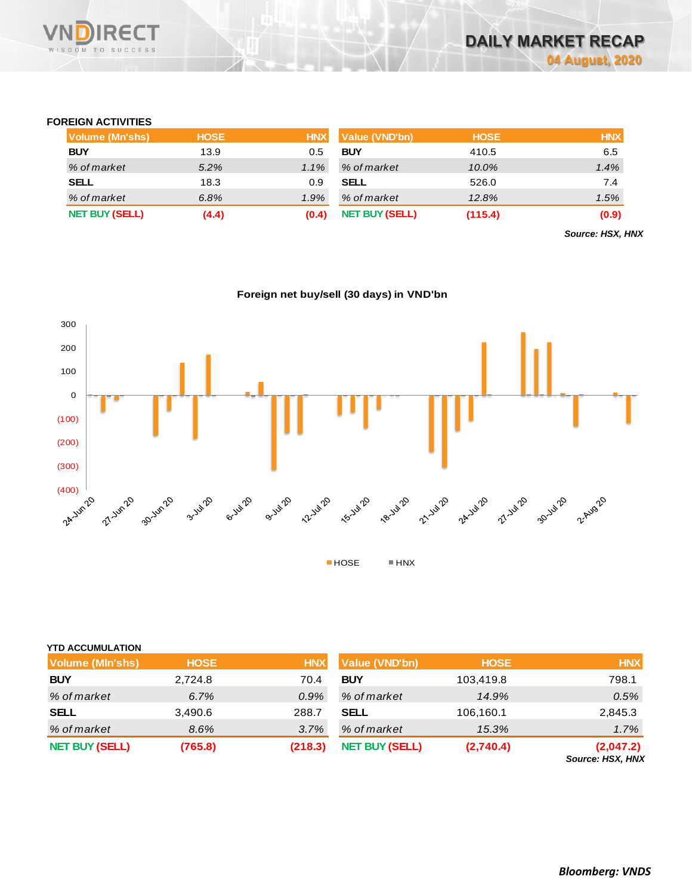### **FOREIGN ACTIVITIES**

WISDOM TO SUCCESS

**RECT** 

| <b>Volume (Mn'shs)</b> | <b>HOSE</b> | <b>HNX</b> | <b>Value (VND'bn)</b> | <b>HOSE</b> | <b>HNX</b> |
|------------------------|-------------|------------|-----------------------|-------------|------------|
| <b>BUY</b>             | 13.9        | 0.5        | <b>BUY</b>            | 410.5       | 6.5        |
| % of market            | $5.2\%$     | $1.1\%$    | % of market           | 10.0%       | 1.4%       |
| SELL                   | 18.3        | 0.9        | <b>SELL</b>           | 526.0       | 7.4        |
| % of market            | 6.8%        | 1.9%       | % of market           | 12.8%       | 1.5%       |
| <b>NET BUY (SELL)</b>  | (4.4)       | (0.4)      | <b>NET BUY (SELL)</b> | (115.4)     | (0.9)      |

*Source: HSX, HNX*





|  |  |  | <b>YTD ACCUMULATION</b> |
|--|--|--|-------------------------|
|--|--|--|-------------------------|

| Volume (MIn'shs)      | <b>HOSE</b> | <b>HNX</b> | Value (VND'bn)        | <b>HOSE</b> | <b>HNX</b>                           |
|-----------------------|-------------|------------|-----------------------|-------------|--------------------------------------|
| <b>BUY</b>            | 2,724.8     | 70.4       | <b>BUY</b>            | 103,419.8   | 798.1                                |
| % of market           | 6.7%        | $0.9\%$    | % of market           | 14.9%       | 0.5%                                 |
| <b>SELL</b>           | 3,490.6     | 288.7      | <b>SELL</b>           | 106,160.1   | 2,845.3                              |
| % of market           | 8.6%        | 3.7%       | % of market           | 15.3%       | 1.7%                                 |
| <b>NET BUY (SELL)</b> | (765.8)     | (218.3)    | <b>NET BUY (SELL)</b> | (2,740.4)   | (2,047.2)<br><b>Source: HSX, HNX</b> |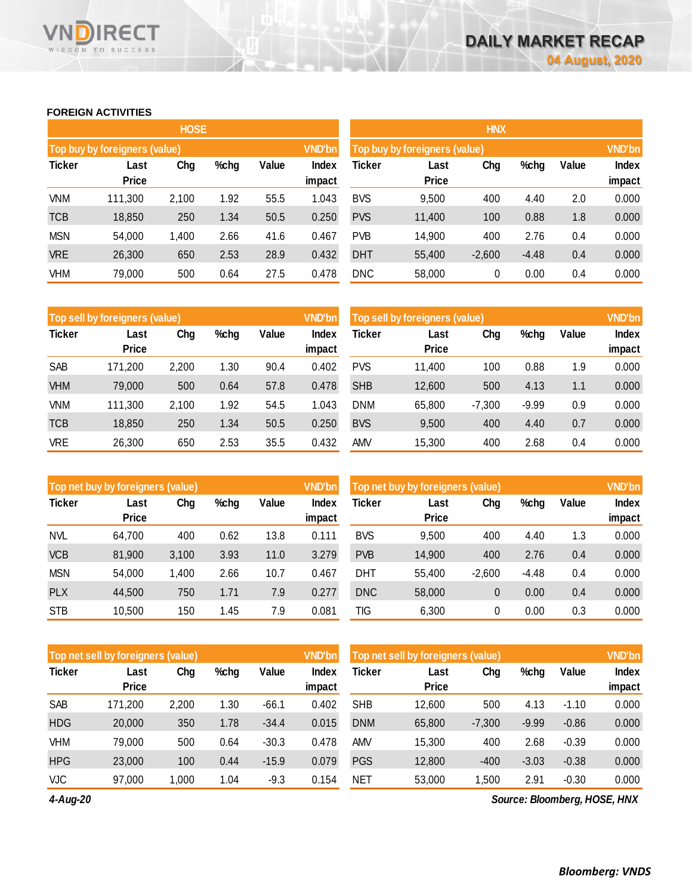# **FOREIGN ACTIVITIES**

WISDOM TO SUCCESS

**RECT** 

VND

|               |                               | <b>HOSE</b> |      |       |                 | <b>HNX</b> |                               |          |         |       |                        |  |
|---------------|-------------------------------|-------------|------|-------|-----------------|------------|-------------------------------|----------|---------|-------|------------------------|--|
|               | Top buy by foreigners (value) |             |      |       | <b>VND'bn</b>   |            | Top buy by foreigners (value) |          |         |       |                        |  |
| <b>Ticker</b> | Last<br><b>Price</b>          | Chg         | %chg | Value | Index<br>impact | Ticker     | Last<br>Price                 | Chg      | %chg    | Value | <b>Index</b><br>impact |  |
| <b>VNM</b>    | 111,300                       | 2,100       | 1.92 | 55.5  | 1.043           | <b>BVS</b> | 9,500                         | 400      | 4.40    | 2.0   | 0.000                  |  |
| <b>TCB</b>    | 18,850                        | 250         | 1.34 | 50.5  | 0.250           | <b>PVS</b> | 11,400                        | 100      | 0.88    | 1.8   | 0.000                  |  |
| <b>MSN</b>    | 54,000                        | 1,400       | 2.66 | 41.6  | 0.467           | <b>PVB</b> | 14,900                        | 400      | 2.76    | 0.4   | 0.000                  |  |
| <b>VRE</b>    | 26,300                        | 650         | 2.53 | 28.9  | 0.432           | <b>DHT</b> | 55,400                        | $-2,600$ | $-4.48$ | 0.4   | 0.000                  |  |
| <b>VHM</b>    | 79,000                        | 500         | 0.64 | 27.5  | 0.478           | <b>DNC</b> | 58,000                        | 0        | 0.00    | 0.4   | 0.000                  |  |

|               | <b>VND'bn</b><br>Top sell by foreigners (value) |       |      |       |                 |            | Top sell by foreigners (value) |          |         |       |                        |  |
|---------------|-------------------------------------------------|-------|------|-------|-----------------|------------|--------------------------------|----------|---------|-------|------------------------|--|
| <b>Ticker</b> | Last<br><b>Price</b>                            | Chg   | %chg | Value | Index<br>impact | Ticker     | Last<br><b>Price</b>           | Chg      | %chg    | Value | <b>Index</b><br>impact |  |
| <b>SAB</b>    | 171,200                                         | 2,200 | 1.30 | 90.4  | 0.402           | <b>PVS</b> | 11,400                         | 100      | 0.88    | 1.9   | 0.000                  |  |
| <b>VHM</b>    | 79,000                                          | 500   | 0.64 | 57.8  | 0.478           | <b>SHB</b> | 12,600                         | 500      | 4.13    | 1.1   | 0.000                  |  |
| <b>VNM</b>    | 111,300                                         | 2,100 | 1.92 | 54.5  | 1.043           | <b>DNM</b> | 65,800                         | $-7,300$ | $-9.99$ | 0.9   | 0.000                  |  |
| <b>TCB</b>    | 18,850                                          | 250   | 1.34 | 50.5  | 0.250           | <b>BVS</b> | 9,500                          | 400      | 4.40    | 0.7   | 0.000                  |  |
| VRE           | 26,300                                          | 650   | 2.53 | 35.5  | 0.432           | AMV        | 15,300                         | 400      | 2.68    | 0.4   | 0.000                  |  |

|               | Top net buy by foreigners (value) |       |      |       |                 | <b>VND'bn</b><br>Top net buy by foreigners (value) |                      |          |       |       | <b>VND'bn</b>          |
|---------------|-----------------------------------|-------|------|-------|-----------------|----------------------------------------------------|----------------------|----------|-------|-------|------------------------|
| <b>Ticker</b> | Last<br><b>Price</b>              | Chg   | %chg | Value | Index<br>impact | Ticker                                             | Last<br><b>Price</b> | Chg      | %chg  | Value | <b>Index</b><br>impact |
| <b>NVL</b>    | 64,700                            | 400   | 0.62 | 13.8  | 0.111           | <b>BVS</b>                                         | 9,500                | 400      | 4.40  | 1.3   | 0.000                  |
| <b>VCB</b>    | 81,900                            | 3,100 | 3.93 | 11.0  | 3.279           | <b>PVB</b>                                         | 14,900               | 400      | 2.76  | 0.4   | 0.000                  |
| <b>MSN</b>    | 54,000                            | 1,400 | 2.66 | 10.7  | 0.467           | DHT                                                | 55,400               | $-2,600$ | -4.48 | 0.4   | 0.000                  |
| <b>PLX</b>    | 44.500                            | 750   | 1.71 | 7.9   | 0.277           | <b>DNC</b>                                         | 58,000               | 0        | 0.00  | 0.4   | 0.000                  |
| <b>STB</b>    | 10.500                            | 150   | 1.45 | 7.9   | 0.081           | TIG                                                | 6,300                | 0        | 0.00  | 0.3   | 0.000                  |

|               | Top net sell by foreigners (value) |       |      |         |                 | Top net sell by foreigners (value) |                      |          | <b>VND'bn</b> |         |                        |
|---------------|------------------------------------|-------|------|---------|-----------------|------------------------------------|----------------------|----------|---------------|---------|------------------------|
| <b>Ticker</b> | Last<br><b>Price</b>               | Chg   | %chg | Value   | Index<br>impact | Ticker                             | Last<br><b>Price</b> | Chg      | %chg          | Value   | <b>Index</b><br>impact |
| <b>SAB</b>    | 171,200                            | 2,200 | 1.30 | $-66.1$ | 0.402           | <b>SHB</b>                         | 12,600               | 500      | 4.13          | $-1.10$ | 0.000                  |
| <b>HDG</b>    | 20,000                             | 350   | 1.78 | $-34.4$ | 0.015           | <b>DNM</b>                         | 65,800               | $-7,300$ | $-9.99$       | $-0.86$ | 0.000                  |
| VHM           | 79,000                             | 500   | 0.64 | $-30.3$ | 0.478           | AMV                                | 15,300               | 400      | 2.68          | $-0.39$ | 0.000                  |
| <b>HPG</b>    | 23,000                             | 100   | 0.44 | $-15.9$ | 0.079           | <b>PGS</b>                         | 12,800               | $-400$   | $-3.03$       | $-0.38$ | 0.000                  |
| VJC           | 97,000                             | 1.000 | 1.04 | $-9.3$  | 0.154           | NET                                | 53,000               | 500. ا   | 2.91          | $-0.30$ | 0.000                  |

*4-Aug-20*

*Source: Bloomberg, HOSE, HNX*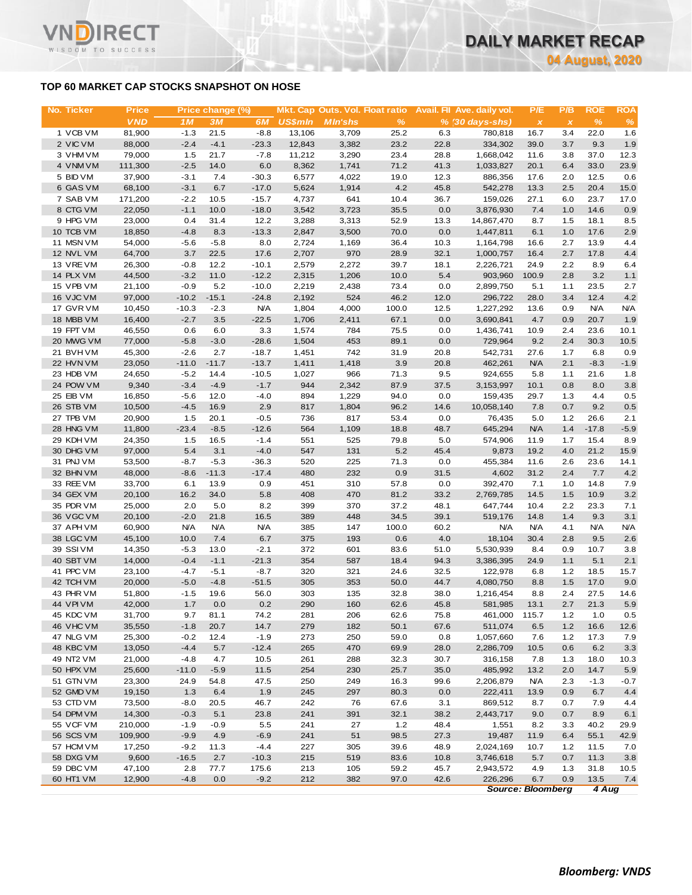### **TOP 60 MARKET CAP STOCKS SNAPSHOT ON HOSE**

ד־

WISDOM TO SUCCESS

| No. Ticker             | <b>Price</b>      |                   | Price change (%) |                       |                | Mkt. Cap Outs. Vol. Float ratio |               |              | <b>Avail. Fll Ave. daily vol.</b> | P/E           | P/B          | <b>ROE</b>         | <b>ROA</b>        |
|------------------------|-------------------|-------------------|------------------|-----------------------|----------------|---------------------------------|---------------|--------------|-----------------------------------|---------------|--------------|--------------------|-------------------|
|                        | <b>VND</b>        | 1M                | 3M               | 6M                    | <b>US\$mln</b> | <b>MIn'shs</b>                  | $\%$          |              | $% (30 \, \text{days-shs})$       | $\pmb{\chi}$  | $\pmb{\chi}$ | $\frac{9}{6}$      | $\%$              |
| 1 VCB VM               | 81,900            | $-1.3$            | 21.5             | $-8.8$                | 13,106         | 3,709                           | 25.2          | 6.3          | 780,818                           | 16.7          | 3.4          | 22.0               | 1.6               |
| 2 VIC VM               | 88,000            | $-2.4$            | $-4.1$           | $-23.3$               | 12,843         | 3,382                           | 23.2          | 22.8         | 334,302                           | 39.0          | 3.7          | 9.3                | 1.9               |
| 3 VHM VM               | 79,000            | 1.5               | 21.7             | $-7.8$                | 11,212         | 3,290                           | 23.4          | 28.8         | 1,668,042                         | 11.6          | 3.8          | 37.0               | 12.3              |
| 4 VNM VM<br>5 BID VM   | 111,300<br>37,900 | $-2.5$<br>$-3.1$  | 14.0<br>7.4      | 6.0<br>$-30.3$        | 8,362<br>6,577 | 1,741<br>4,022                  | 71.2<br>19.0  | 41.3<br>12.3 | 1,033,827<br>886,356              | 20.1<br>17.6  | 6.4<br>2.0   | 33.0<br>12.5       | 23.9<br>0.6       |
| 6 GAS VM               | 68,100            | $-3.1$            | 6.7              | $-17.0$               | 5,624          | 1,914                           | 4.2           | 45.8         | 542,278                           | 13.3          | 2.5          | 20.4               | 15.0              |
| 7 SAB VM               | 171,200           | $-2.2$            | 10.5             | $-15.7$               | 4,737          | 641                             | 10.4          | 36.7         | 159,026                           | 27.1          | 6.0          | 23.7               | 17.0              |
| 8 CTG VM               | 22,050            | $-1.1$            | 10.0             | $-18.0$               | 3,542          | 3,723                           | 35.5          | 0.0          | 3,876,930                         | 7.4           | 1.0          | 14.6               | 0.9               |
| 9 HPG VM               | 23,000            | 0.4               | 31.4             | 12.2                  | 3,288          | 3,313                           | 52.9          | 13.3         | 14,867,470                        | 8.7           | 1.5          | 18.1               | 8.5               |
| 10 TCB VM              | 18,850            | $-4.8$            | 8.3              | $-13.3$               | 2,847          | 3,500                           | 70.0          | 0.0          | 1,447,811                         | 6.1           | 1.0          | 17.6               | 2.9               |
| 11 MSN VM              | 54,000            | $-5.6$            | $-5.8$           | 8.0                   | 2,724          | 1,169                           | 36.4          | 10.3         | 1,164,798                         | 16.6          | 2.7          | 13.9               | 4.4               |
| 12 NVL VM              | 64,700            | 3.7               | 22.5             | 17.6                  | 2,707          | 970                             | 28.9          | 32.1         | 1,000,757                         | 16.4          | 2.7          | 17.8               | 4.4               |
| 13 VREVM               | 26,300            | $-0.8$            | 12.2             | $-10.1$               | 2,579          | 2,272                           | 39.7          | 18.1         | 2,226,721                         | 24.9          | 2.2          | 8.9                | 6.4               |
| 14 PLX VM              | 44,500            | $-3.2$            | 11.0             | $-12.2$               | 2,315          | 1,206                           | 10.0          | 5.4          | 903,960                           | 100.9         | 2.8          | 3.2                | 1.1               |
| 15 VPB VM              | 21,100            | $-0.9$            | 5.2              | $-10.0$               | 2,219          | 2,438                           | 73.4          | 0.0          | 2,899,750                         | 5.1           | 1.1          | 23.5               | 2.7               |
| 16 VJC VM              | 97,000            | $-10.2$           | $-15.1$          | $-24.8$               | 2,192          | 524                             | 46.2          | 12.0         | 296,722                           | 28.0          | 3.4          | 12.4               | 4.2               |
| 17 GVR VM<br>18 MBB VM | 10,450<br>16,400  | $-10.3$<br>$-2.7$ | $-2.3$<br>3.5    | <b>N/A</b><br>$-22.5$ | 1,804<br>1,706 | 4,000<br>2,411                  | 100.0<br>67.1 | 12.5<br>0.0  | 1,227,292<br>3,690,841            | 13.6<br>4.7   | 0.9<br>0.9   | <b>N/A</b><br>20.7 | <b>N/A</b><br>1.9 |
| 19 FPT VM              | 46,550            | 0.6               | 6.0              | 3.3                   | 1,574          | 784                             | 75.5          | 0.0          | 1,436,741                         | 10.9          | 2.4          | 23.6               | 10.1              |
| 20 MWG VM              | 77,000            | $-5.8$            | $-3.0$           | $-28.6$               | 1,504          | 453                             | 89.1          | 0.0          | 729,964                           | 9.2           | 2.4          | 30.3               | 10.5              |
| 21 BVHVM               | 45,300            | $-2.6$            | 2.7              | $-18.7$               | 1,451          | 742                             | 31.9          | 20.8         | 542,731                           | 27.6          | 1.7          | 6.8                | 0.9               |
| 22 HVN VM              | 23,050            | $-11.0$           | $-11.7$          | $-13.7$               | 1,411          | 1,418                           | 3.9           | 20.8         | 462,261                           | <b>N/A</b>    | 2.1          | $-8.3$             | $-1.9$            |
| 23 HDB VM              | 24,650            | $-5.2$            | 14.4             | $-10.5$               | 1,027          | 966                             | 71.3          | 9.5          | 924,655                           | 5.8           | 1.1          | 21.6               | 1.8               |
| 24 POW VM              | 9,340             | $-3.4$            | $-4.9$           | $-1.7$                | 944            | 2,342                           | 87.9          | 37.5         | 3,153,997                         | 10.1          | 0.8          | 8.0                | 3.8               |
| 25 EIB VM              | 16,850            | $-5.6$            | 12.0             | $-4.0$                | 894            | 1,229                           | 94.0          | 0.0          | 159,435                           | 29.7          | 1.3          | 4.4                | 0.5               |
| 26 STB VM              | 10,500            | $-4.5$            | 16.9             | 2.9                   | 817            | 1,804                           | 96.2          | 14.6         | 10,058,140                        | 7.8           | 0.7          | 9.2                | 0.5               |
| 27 TPB VM              | 20,900            | 1.5               | 20.1             | $-0.5$                | 736            | 817                             | 53.4          | 0.0          | 76,435                            | 5.0           | 1.2          | 26.6               | 2.1               |
| 28 HNG VM              | 11,800            | $-23.4$           | $-8.5$           | $-12.6$               | 564            | 1,109                           | 18.8          | 48.7         | 645,294                           | <b>N/A</b>    | 1.4          | $-17.8$            | $-5.9$            |
| 29 KDH VM              | 24,350            | 1.5               | 16.5             | $-1.4$                | 551            | 525                             | 79.8          | 5.0          | 574,906                           | 11.9          | 1.7          | 15.4               | 8.9               |
| 30 DHG VM              | 97,000            | 5.4<br>$-8.7$     | 3.1<br>$-5.3$    | $-4.0$                | 547<br>520     | 131<br>225                      | 5.2           | 45.4         | 9,873                             | 19.2          | 4.0          | 21.2<br>23.6       | 15.9              |
| 31 PNJ VM<br>32 BHN VM | 53,500<br>48,000  | $-8.6$            | $-11.3$          | $-36.3$<br>$-17.4$    | 480            | 232                             | 71.3<br>0.9   | 0.0<br>31.5  | 455,384<br>4,602                  | 11.6<br>31.2  | 2.6<br>2.4   | 7.7                | 14.1<br>4.2       |
| 33 REE VM              | 33,700            | 6.1               | 13.9             | 0.9                   | 451            | 310                             | 57.8          | 0.0          | 392,470                           | 7.1           | 1.0          | 14.8               | 7.9               |
| 34 GEX VM              | 20,100            | 16.2              | 34.0             | 5.8                   | 408            | 470                             | 81.2          | 33.2         | 2,769,785                         | 14.5          | 1.5          | 10.9               | 3.2               |
| 35 PDR VM              | 25,000            | 2.0               | 5.0              | 8.2                   | 399            | 370                             | 37.2          | 48.1         | 647,744                           | 10.4          | 2.2          | 23.3               | 7.1               |
| 36 VGC VM              | 20,100            | $-2.0$            | 21.8             | 16.5                  | 389            | 448                             | 34.5          | 39.1         | 519,176                           | 14.8          | 1.4          | 9.3                | 3.1               |
| 37 APH VM              | 60,900            | <b>N/A</b>        | <b>N/A</b>       | <b>N/A</b>            | 385            | 147                             | 100.0         | 60.2         | <b>N/A</b>                        | <b>N/A</b>    | 4.1          | <b>N/A</b>         | <b>N/A</b>        |
| 38 LGC VM              | 45,100            | 10.0              | 7.4              | 6.7                   | 375            | 193                             | 0.6           | 4.0          | 18,104                            | 30.4          | 2.8          | 9.5                | 2.6               |
| 39 SSIVM               | 14,350            | $-5.3$            | 13.0             | $-2.1$                | 372            | 601                             | 83.6          | 51.0         | 5,530,939                         | 8.4           | 0.9          | 10.7               | 3.8               |
| 40 SBT VM              | 14,000            | $-0.4$            | $-1.1$           | $-21.3$               | 354            | 587                             | 18.4          | 94.3         | 3,386,395                         | 24.9          | 1.1          | 5.1                | 2.1               |
| 41 PPC VM              | 23,100            | $-4.7$            | $-5.1$           | -8.7                  | 320            | 321                             | 24.6          | 32.5         | 122,978                           | 6.8           | 1.2          | 18.5               | 15.7              |
| 42 TCH VM              | 20,000            | $-5.0$            | $-4.8$           | $-51.5$               | 305            | 353                             | 50.0          | 44.7         | 4,080,750                         | 8.8           | 1.5          | 17.0               | 9.0               |
| 43 PHR VM<br>44 VPIVM  | 51,800            | $-1.5$            | 19.6             | 56.0<br>0.2           | 303            | 135                             | 32.8          | 38.0         | 1,216,454                         | 8.8           | 2.4          | 27.5               | 14.6              |
| 45 KDC VM              | 42,000<br>31,700  | 1.7<br>9.7        | 0.0<br>81.1      | 74.2                  | 290<br>281     | 160<br>206                      | 62.6<br>62.6  | 45.8<br>75.8 | 581,985<br>461,000                | 13.1<br>115.7 | 2.7<br>$1.2$ | 21.3<br>1.0        | 5.9<br>0.5        |
| 46 VHC VM              | 35,550            | $-1.8$            | 20.7             | 14.7                  | 279            | 182                             | 50.1          | 67.6         | 511,074                           | 6.5           | 1.2          | 16.6               | 12.6              |
| 47 NLG VM              | 25,300            | $-0.2$            | 12.4             | $-1.9$                | 273            | 250                             | 59.0          | 0.8          | 1,057,660                         | 7.6           | 1.2          | 17.3               | 7.9               |
| 48 KBC VM              | 13,050            | $-4.4$            | 5.7              | $-12.4$               | 265            | 470                             | 69.9          | 28.0         | 2,286,709                         | 10.5          | 0.6          | 6.2                | 3.3               |
| 49 NT2 VM              | 21,000            | $-4.8$            | 4.7              | 10.5                  | 261            | 288                             | 32.3          | 30.7         | 316,158                           | 7.8           | 1.3          | 18.0               | 10.3              |
| 50 HPX VM              | 25,600            | $-11.0$           | $-5.9$           | 11.5                  | 254            | 230                             | 25.7          | 35.0         | 485,992                           | 13.2          | 2.0          | 14.7               | 5.9               |
| 51 GTN VM              | 23,300            | 24.9              | 54.8             | 47.5                  | 250            | 249                             | 16.3          | 99.6         | 2,206,879                         | <b>N/A</b>    | 2.3          | $-1.3$             | $-0.7$            |
| 52 GMD VM              | 19,150            | 1.3               | 6.4              | 1.9                   | 245            | 297                             | 80.3          | 0.0          | 222,411                           | 13.9          | 0.9          | 6.7                | 4.4               |
| 53 CTD VM              | 73,500            | $-8.0$            | 20.5             | 46.7                  | 242            | 76                              | 67.6          | 3.1          | 869,512                           | 8.7           | 0.7          | 7.9                | 4.4               |
| 54 DPM VM              | 14,300            | $-0.3$            | 5.1              | 23.8                  | 241            | 391                             | 32.1          | 38.2         | 2,443,717                         | 9.0           | 0.7          | 8.9                | 6.1               |
| 55 VCF VM              | 210,000           | $-1.9$            | $-0.9$           | 5.5                   | 241            | 27                              | 1.2           | 48.4         | 1,551                             | 8.2           | 3.3          | 40.2               | 29.9              |
| 56 SCS VM              | 109,900           | $-9.9$            | 4.9              | $-6.9$                | 241            | 51                              | 98.5          | 27.3         | 19,487                            | 11.9          | 6.4          | 55.1               | 42.9              |
| 57 HCM VM              | 17,250            | $-9.2$            | 11.3             | $-4.4$                | 227            | 305                             | 39.6          | 48.9         | 2,024,169                         | 10.7          | 1.2          | 11.5               | 7.0               |
| 58 DXG VM<br>59 DBC VM | 9,600<br>47,100   | $-16.5$<br>2.8    | 2.7<br>77.7      | $-10.3$<br>175.6      | 215<br>213     | 519<br>105                      | 83.6<br>59.2  | 10.8<br>45.7 | 3,746,618<br>2,943,572            | 5.7<br>4.9    | 0.7<br>1.3   | 11.3<br>31.8       | 3.8<br>10.5       |
| 60 HT1 VM              | 12,900            | $-4.8$            | 0.0              | $-9.2$                | 212            | 382                             | 97.0          | 42.6         | 226,296                           | 6.7           | 0.9          | 13.5               | 7.4               |
|                        |                   |                   |                  |                       |                |                                 |               |              |                                   |               |              |                    |                   |